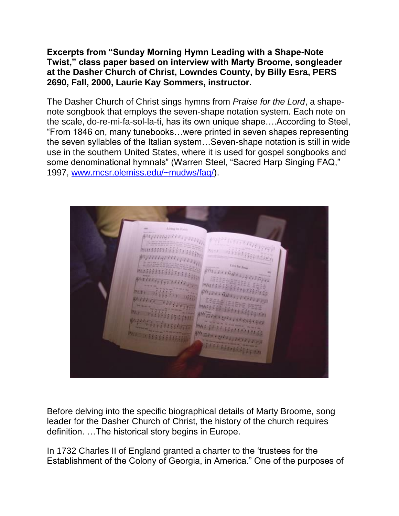## **Excerpts from "Sunday Morning Hymn Leading with a Shape-Note Twist," class paper based on interview with Marty Broome, songleader at the Dasher Church of Christ, Lowndes County, by Billy Esra, PERS 2690, Fall, 2000, Laurie Kay Sommers, instructor.**

The Dasher Church of Christ sings hymns from *Praise for the Lord*, a shapenote songbook that employs the seven-shape notation system. Each note on the scale, do-re-mi-fa-sol-la-ti, has its own unique shape….According to Steel, "From 1846 on, many tunebooks…were printed in seven shapes representing the seven syllables of the Italian system…Seven-shape notation is still in wide use in the southern United States, where it is used for gospel songbooks and some denominational hymnals" (Warren Steel, "Sacred Harp Singing FAQ," 1997, [www.mcsr.olemiss.edu/~mudws/faq/\)](http://www.mcsr.olemiss.edu/~mudws/faq/).

siyaanga kki iyaang **ANIEL EXPERIENCE MARTISSIO MATS & BELLES GREENLY MAX 67 50 Water over** 

Before delving into the specific biographical details of Marty Broome, song leader for the Dasher Church of Christ, the history of the church requires definition. …The historical story begins in Europe.

In 1732 Charles II of England granted a charter to the 'trustees for the Establishment of the Colony of Georgia, in America." One of the purposes of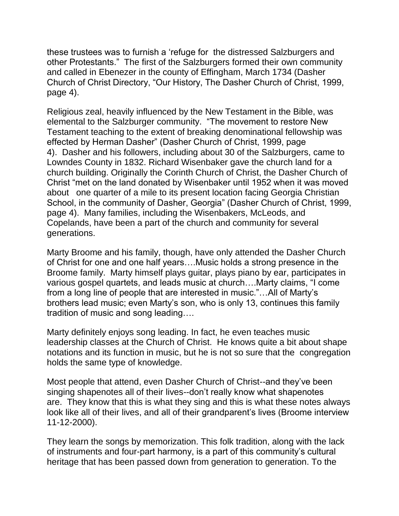these trustees was to furnish a 'refuge for the distressed Salzburgers and other Protestants." The first of the Salzburgers formed their own community and called in Ebenezer in the county of Effingham, March 1734 (Dasher Church of Christ Directory, "Our History, The Dasher Church of Christ, 1999, page 4).

Religious zeal, heavily influenced by the New Testament in the Bible, was elemental to the Salzburger community. "The movement to restore New Testament teaching to the extent of breaking denominational fellowship was effected by Herman Dasher" (Dasher Church of Christ, 1999, page 4). Dasher and his followers, including about 30 of the Salzburgers, came to Lowndes County in 1832. Richard Wisenbaker gave the church land for a church building. Originally the Corinth Church of Christ, the Dasher Church of Christ "met on the land donated by Wisenbaker until 1952 when it was moved about one quarter of a mile to its present location facing Georgia Christian School, in the community of Dasher, Georgia" (Dasher Church of Christ, 1999, page 4). Many families, including the Wisenbakers, McLeods, and Copelands, have been a part of the church and community for several generations.

Marty Broome and his family, though, have only attended the Dasher Church of Christ for one and one half years….Music holds a strong presence in the Broome family. Marty himself plays guitar, plays piano by ear, participates in various gospel quartets, and leads music at church….Marty claims, "I come from a long line of people that are interested in music."…All of Marty's brothers lead music; even Marty's son, who is only 13, continues this family tradition of music and song leading….

Marty definitely enjoys song leading. In fact, he even teaches music leadership classes at the Church of Christ. He knows quite a bit about shape notations and its function in music, but he is not so sure that the congregation holds the same type of knowledge.

Most people that attend, even Dasher Church of Christ--and they've been singing shapenotes all of their lives--don't really know what shapenotes are. They know that this is what they sing and this is what these notes always look like all of their lives, and all of their grandparent's lives (Broome interview 11-12-2000).

They learn the songs by memorization. This folk tradition, along with the lack of instruments and four-part harmony, is a part of this community's cultural heritage that has been passed down from generation to generation. To the